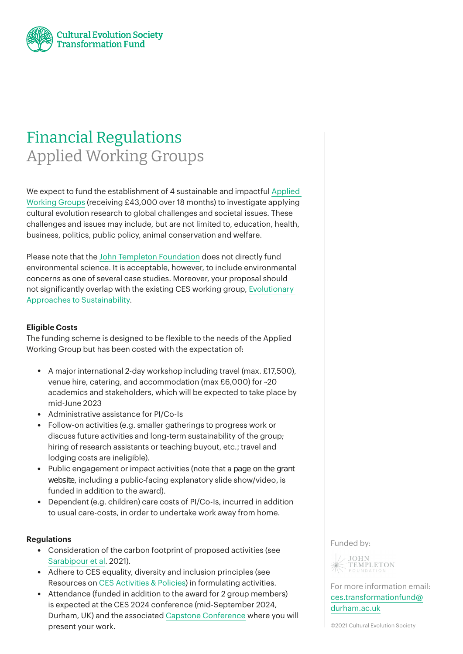

# Financial Regulations Applied Working Groups

We expect to fund the establishment of 4 sustainable and impactful A[pplied](https://ces-transformationfund.org/our-projects/applied-working-groups/) [Working](https://ces-transformationfund.org/our-projects/applied-working-groups/) Groups (receiving £43,000 over 18 months) to investigate applying cultural evolution research to global challenges and societal issues. These challenges and issues may include, but are not limited to, education, health, business, politics, public policy, animal conservation and welfare.

Please note that the John Templeton [Foundation](https://www.templeton.org/?gclid=Cj0KCQiA7oyNBhDiARIsADtGRZaVzsrotSdiwwy2NqV_2ffIOLvbSG6Ibwf7lqlYg2YdKDRMjWZZpcAaAqeCEALw_wcB) does not directly fund environmental science. It is acceptable, however, to include environmental concerns as one of several case studies. Moreover, your proposal should not significantly overlap with the existing CES working group, [Evolutionary](https://culturalevolutionsociety.org/story/sustainability) Approaches to [Sustainability.](https://culturalevolutionsociety.org/story/sustainability)

## **Eligible Costs**

The funding scheme is designed to be flexible to the needs of the Applied Working Group but has been costed with the expectation of:

- A major international 2-day workshop including travel (max. £17,500), venue hire, catering, and accommodation (max £6,000) for ~20 academics and stakeholders, which will be expected to take place by mid-June 2023
- Administrative assistance for PI/Co-Is
- Follow-on activities (e.g. smaller gatherings to progress work or discuss future activities and long-term sustainability of the group; hiring of research assistants or teaching buyout, etc.; travel and lodging costs are ineligible).
- Public engagement or impact activities (note that a page on the grant website, including a public-facing explanatory slide show/video, is funded in addition to the award).
- Dependent (e.g. children) care costs of PI/Co-Is, incurred in addition to usual care-costs, in order to undertake work away from home.

### **Regulations**

- Consideration of the carbon footprint of proposed activities (see [Sarabipour](https://www.nature.com/articles/s41562-021-01067-y) et al. 2021).
- Adhere to CES equality, diversity and inclusion principles (see Resources on CES [Activities](https://culturalevolutionsociety.org/story/Resources) & Policies) in formulating activities.
- Attendance (funded in addition to the award for 2 group members) is expected at the CES 2024 conference (mid-September 2024, Durham, UK) and the associated Capstone [Conference](https://ces-transformationfund.org/grant-scheme/%23capstone) where you will present your work.

#### Funded by:



For more information email: [ces.transformationfund@](mailto:ces.transformationfund%40durham.ac.uk?subject=) [durham.ac.uk](mailto:ces.transformationfund%40durham.ac.uk?subject=)

©2021 Cultural Evolution Society